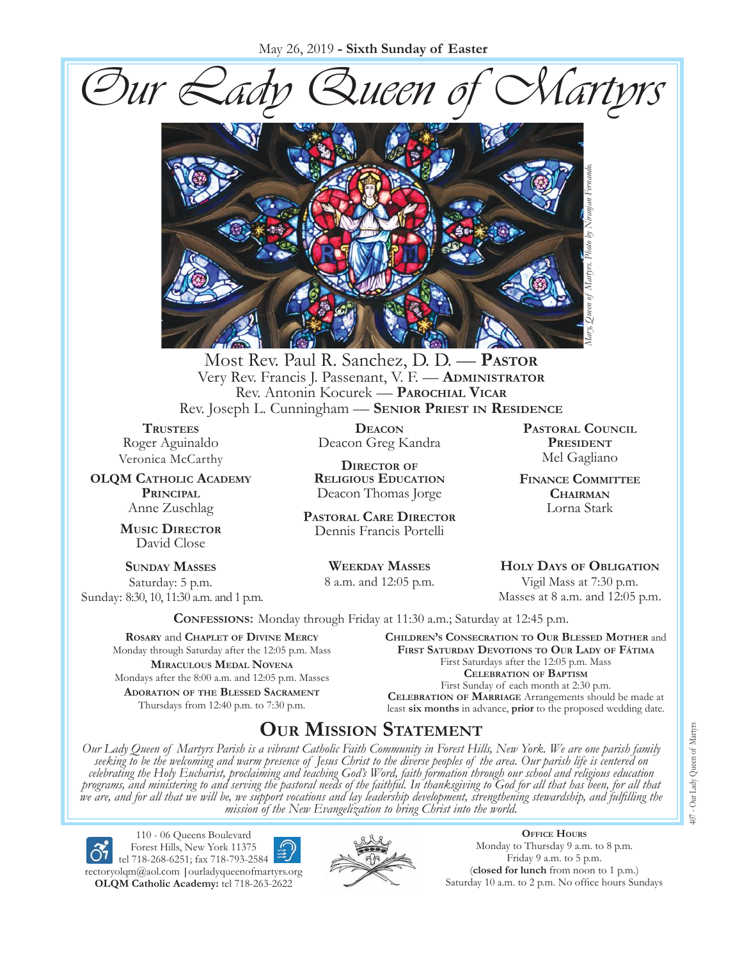May 26, 2019 **- Sixth Sunday of Easter**





Most Rev. Paul R. Sanchez, D. D. — **Pastor** Very Rev. Francis J. Passenant, V. F. — **Administrator** Rev. Antonin Kocurek — **Parochial Vicar** Rev. Joseph L. Cunningham — **Senior Priest in Residence**

**TRUSTEES** Roger Aguinaldo Veronica McCarthy

**OLQM Catholic Academy Principal** Anne Zuschlag

> **Music Director** David Close

**Sunday Masses** Saturday: 5 p.m. Sunday: 8:30, 10, 11:30 a.m. and 1 p.m.

**Deacon** Deacon Greg Kandra

**Director of Religious Education** Deacon Thomas Jorge

**Pastoral Care Director** Dennis Francis Portelli

> **Weekday Masses** 8 a.m. and 12:05 p.m.

**Pastoral Council President** Mel Gagliano

**Finance Committee Chairman** Lorna Stark

**Holy Days of Obligation** Vigil Mass at 7:30 p.m. Masses at 8 a.m. and 12:05 p.m.

**Confessions:** Monday through Friday at 11:30 a.m.; Saturday at 12:45 p.m.

**Rosary** and **Chaplet of Divine Mercy** Monday through Saturday after the 12:05 p.m. Mass **Miraculous Medal Novena** Mondays after the 8:00 a.m. and 12:05 p.m. Masses **Adoration of the Blessed Sacrament** Thursdays from 12:40 p.m. to 7:30 p.m.

#### **Children's Consecration to Our Blessed Mother** and **First Saturday Devotions to Our Lady of Fátima**

First Saturdays after the 12:05 p.m. Mass **Celebration of Baptism** First Sunday of each month at 2:30 p.m. **Celebration of Marriage** Arrangements should be made at least **six months** in advance, **prior** to the proposed wedding date.

# **Our Mission Statement**

Our Lady Queen of Martyrs Parish is a vibrant Catholic Faith Community in Forest Hills, New York. We are one parish family<br>seeking to be the welcoming and warm presence of Jesus Christ to the diverse peoples of the area. O *celebrating the Holy Eucharist, proclaiming and teaching God's Word, faith formation through our school and religious education*  programs, and ministering to and serving the pastoral needs of the faithful. In thanksgiving to God for all that has been, for all that<br>we are, and for all that we will be, we support vocations and lay leadership developme *mission of the New Evangelization to bring Christ into the world.*

110 - 06 Queens Boulevard Forest Hills, New York 11375 tel 718-268-6251; fax 718-793-2584 [rectoryolqm@aol.com](mailto:rectoryolqm@aol.com) **|**[ourladyqueenofmartyrs.org](www.ourladyqueenofmartyrs.org) **OLQM Catholic Academy:** tel 718-263-2622



**Office Hours** Monday to Thursday 9 a.m. to 8 p.m. Friday 9 a.m. to 5 p.m. (**closed for lunch** from noon to 1 p.m.)<br>Saturday 10 a.m. to 2 p.m. No office hours Sundays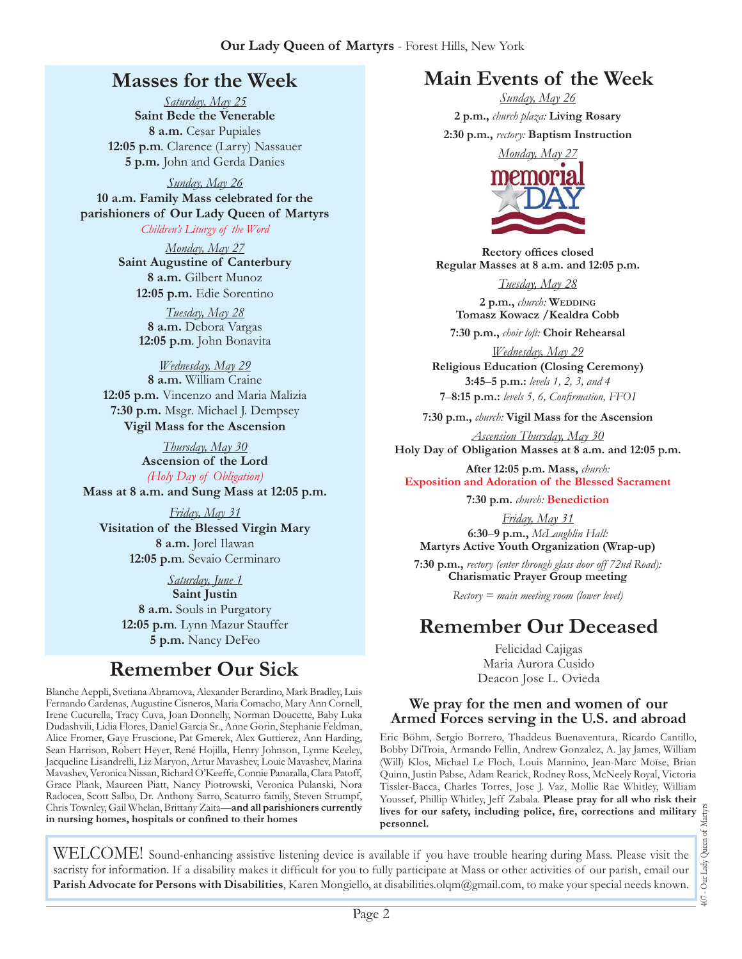# **Masses for the Week**

*Saturday, May 25* **Saint Bede the Venerable 8 a.m.** Cesar Pupiales **12:05 p.m***.* Clarence (Larry) Nassauer **5 p.m.** John and Gerda Danies

*Sunday, May 26* **10 a.m. Family Mass celebrated for the parishioners of Our Lady Queen of Martyrs** *Children's Liturgy of the Word* 

> *Monday, May 27* **Saint Augustine of Canterbury 8 a.m.** Gilbert Munoz **12:05 p.m.** Edie Sorentino

> > *Tuesday, May 28* **8 a.m.** Debora Vargas **12:05 p.m***.* John Bonavita

*Wednesday, May 29* **8 a.m.** William Craine **12:05 p.m.** Vincenzo and Maria Malizia **7:30 p.m.** Msgr. Michael J. Dempsey **Vigil Mass for the Ascension**

*Thursday, May 30* **Ascension of the Lord** *(Holy Day of Obligation)* **Mass at 8 a.m. and Sung Mass at 12:05 p.m.**

*Friday, May 31* **Visitation of the Blessed Virgin Mary 8 a.m.** Jorel Ilawan **12:05 p.m***.* Sevaio Cerminaro

> *Saturday, June 1* **Saint Justin 8 a.m.** Souls in Purgatory **12:05 p.m***.* Lynn Mazur Stauffer **5 p.m.** Nancy DeFeo

# **Remember Our Sick**

Blanche Aeppli, Svetiana Abramova, Alexander Berardino, Mark Bradley, Luis Fernando Cardenas, Augustine Cisneros, Maria Comacho, Mary Ann Cornell, Irene Cucurella, Tracy Cuva, Joan Donnelly, Norman Doucette, Baby Luka Dudashvili, Lidia Flores, Daniel Garcia Sr., Anne Gorin, Stephanie Feldman, Alice Fromer, Gaye Fruscione, Pat Gmerek, Alex Guttierez, Ann Harding, Sean Harrison, Robert Heyer, René Hojilla, Henry Johnson, Lynne Keeley, Jacqueline Lisandrelli, Liz Maryon, Artur Mavashev, Louie Mavashev, Marina Mavashev, Veronica Nissan, Richard O'Keeffe, Connie Panaralla, Clara Patoff, Grace Plank, Maureen Piatt, Nancy Piotrowski, Veronica Pulanski, Nora Radocea, Scott Salbo, Dr. Anthony Sarro, Scaturro family, Steven Strumpf, Chris Townley, Gail Whelan, Brittany Zaita—**and all parishioners currently in nursing homes, hospitals or confined to their homes**

# **Main Events of the Week**

*Sunday, May 26* **2 p.m.,** *church plaza:* **Living Rosary 2:30 p.m.,** *rectory:* **Baptism Instruction**



**Rectory offices closed Regular Masses at 8 a.m. and 12:05 p.m.**

*Tuesday, May 28* **2 p.m.,** *church:* **Wedding Tomasz Kowacz /Kealdra Cobb 7:30 p.m.,** *choir loft:* **Choir Rehearsal**

*Wednesday, May 29* **Religious Education (Closing Ceremony) 3:45**–**5 p.m.:** *levels 1, 2, 3, and 4*  **7**–**8:15 p.m.:** *levels 5, 6, Confirmation, FFO  I*

**7:30 p.m.,** *church:* **Vigil Mass for the Ascension** 

*Ascension Thursday, May 30* **Holy Day of Obligation Masses at 8 a.m. and 12:05 p.m.**

**After 12:05 p.m. Mass,** *church:*  **Exposition and Adoration of the Blessed Sacrament**

**7:30 p.m.** *church:* **Benediction** 

*Friday, May 31* **6:30**–**9 p.m.,** *McLaughlin Hall:* **Martyrs Active Youth Organization (Wrap-up)**

**7:30 p.m.,** *rectory (enter through glass door off 72nd Road):* **Charismatic Prayer Group meeting**

*Rectory = main meeting room (lower level)*

# **Remember Our Deceased**

Felicidad Cajigas Maria Aurora Cusido Deacon Jose L. Ovieda

#### **We pray for the men and women of our Armed Forces serving in the U.S. and abroad**

Eric Böhm, Sergio Borrero, Thaddeus Buenaventura, Ricardo Cantillo, Bobby DiTroia, Armando Fellin, Andrew Gonzalez, A. Jay James, William (Will) Klos, Michael Le Floch, Louis Mannino, Jean-Marc Moïse, Brian Quinn, Justin Pabse, Adam Rearick, Rodney Ross, McNeely Royal, Victoria Tissler-Bacca, Charles Torres, Jose J. Vaz, Mollie Rae Whitley, William **lives for our safety, including police, fire, corrections and military personnel.**

407 - Our Lady Queen of Martyrs  $+00$ 

Youssef, Phillip Whitley, Jeff Zabala. **Please pray for all who risk their**<br>lives for our safety, including police, fire, corrections and military<br>personnel.<br>ailable if you have trouble hearing during Mass. Please visit th WELCOME! Sound-enhancing assistive listening device is available if you have trouble hearing during Mass. Please visit the sacristy for information. If a disability makes it difficult for you to fully participate at Mass or other activities of our parish, email our **Parish Advocate for Persons with Disabilities**, Karen Mongiello, at [disabilities.olqm@gmail.com](mailto:disabilities.olqm@gmail.com), to make your special needs known.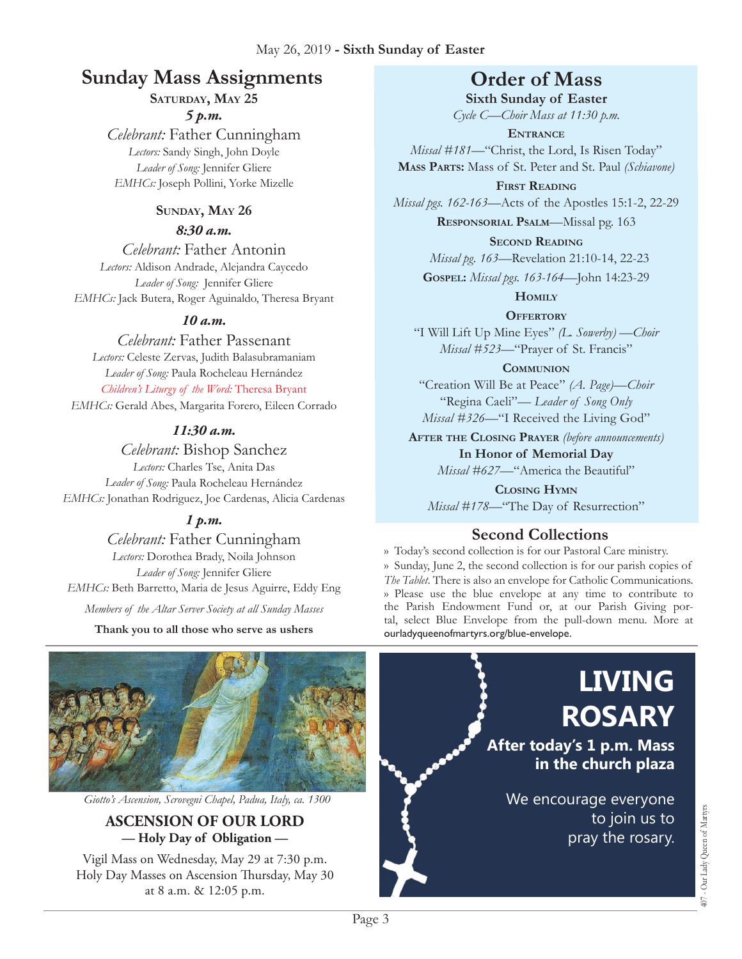# **Sunday Mass Assignments Order of Mass**

SATURDAY, MAY 25

#### *5 p.m.*

*Celebrant:* Father Cunningham *Lectors:* Sandy Singh, John Doyle *Leader of Song:* Jennifer Gliere *EMHCs:* Joseph Pollini, Yorke Mizelle

#### SUNDAY, MAY 26

#### *8:30 a.m.*

*Celebrant:* Father Antonin *Lectors:* Aldison Andrade, Alejandra Caycedo *Leader of Song:* Jennifer Gliere *EMHCs:* Jack Butera, Roger Aguinaldo, Theresa Bryant

#### *10 a.m.*

*Celebrant:* Father Passenant *Lectors:* Celeste Zervas, Judith Balasubramaniam *Leader of Song:* Paula Rocheleau Hernández *Children's Liturgy of the Word:* Theresa Bryant

*EMHCs:* Gerald Abes, Margarita Forero, Eileen Corrado

#### *11:30 a.m.*

*Celebrant:* Bishop Sanchez *Lectors:* Charles Tse, Anita Das *Leader of Song:* Paula Rocheleau Hernández *EMHCs:* Jonathan Rodriguez, Joe Cardenas, Alicia Cardenas

## *1 p.m.*

*Celebrant:* Father Cunningham *Lectors:* Dorothea Brady, Noila Johnson *Leader of Song:* Jennifer Gliere *EMHCs:* Beth Barretto, Maria de Jesus Aguirre, Eddy Eng

*Members of the Altar Server Society at all Sunday Masses*

**Thank you to all those who serve as ushers**

**Sixth Sunday of Easter** *Cycle C—Choir Mass at 11:30 p.m.* 

**Entrance** *Missal #181—*"Christ, the Lord, Is Risen Today" **Mass Parts:** Mass of St. Peter and St. Paul *(Schiavone)*

**First Reading** *Missal pgs. 162-163—*Acts of the Apostles 15:1-2, 22-29

**Responsorial Psalm**—Missal pg. 163

**Second Reading**

*Missal pg. 163—*Revelation 21:10-14, 22-23

**Gospel:** *Missal pgs. 163-164—*John 14:23-29

**Homily**

**Offertory**

"I Will Lift Up Mine Eyes" *(L. Sowerby) —Choir Missal #523—*"Prayer of St. Francis"

**Communion**

"Creation Will Be at Peace" *(A. Page)—Choir* "Regina Caeli"*— Leader of Song Only Missal #326—*"I Received the Living God"

**After the Closing Prayer** *(before announcements)*

**In Honor of Memorial Day** *Missal #627—*"America the Beautiful"

**Closing Hymn** *Missal #178*—"The Day of Resurrection"

# **Second Collections**

›› Today's second collection is for our Pastoral Care ministry. ›› Sunday, June 2, the second collection is for our parish copies of *The Tablet*. There is also an envelope for Catholic Communications. ›› Please use the blue envelope at any time to contribute to the Parish Endowment Fund or, at our Parish Giving portal, select Blue Envelope from the pull-down menu. More at ourladyqueenofmartyrs.org/blue-envelope.



*Giotto's Ascension, Scrovegni Chapel, Padua, Italy, ca. 1300*

#### **ASCENSION OF OUR LORD — Holy Day of Obligation —**

Vigil Mass on Wednesday, May 29 at 7:30 p.m. Holy Day Masses on Ascension Thursday, May 30 at 8 a.m. & 12:05 p.m.

**ROSARY After today's 1 p.m. Mass in the church plaza** We encourage everyone to join us to

pray the rosary.

**LIVING** 

407 - Our Lady Queen of Martyrs

407 - Our Lady Queen of Martyrs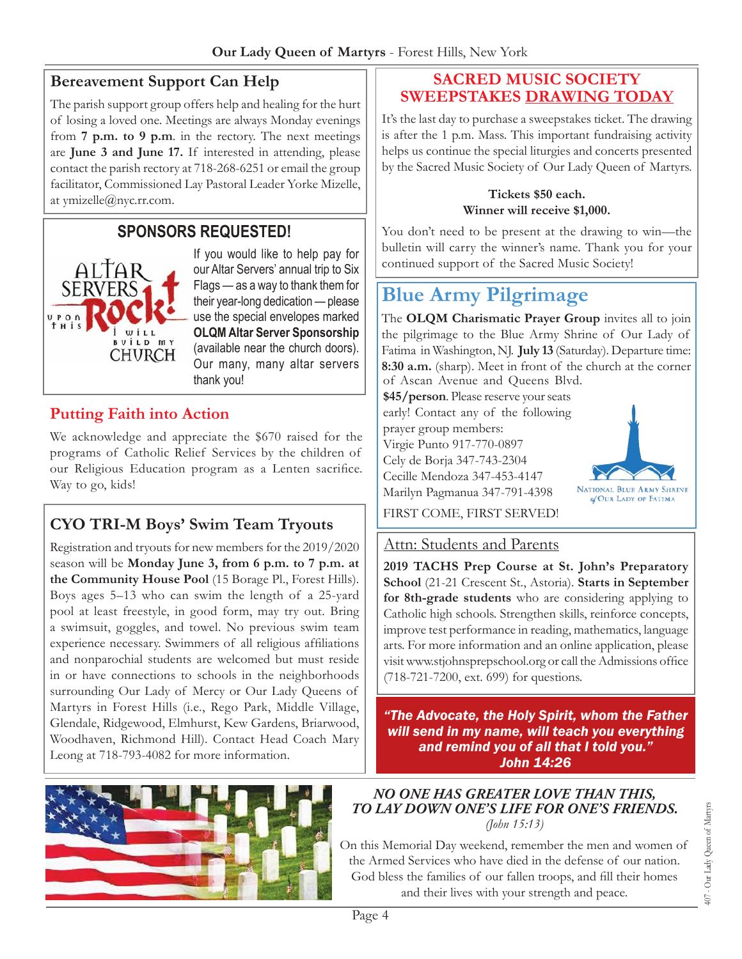## **Bereavement Support Can Help**

The parish support group offers help and healing for the hurt of losing a loved one. Meetings are always Monday evenings from **7 p.m. to 9 p.m**. in the rectory. The next meetings are **June 3 and June 17.** If interested in attending, please contact the parish rectory at 718-268-6251 or email the group facilitator, Commissioned Lay Pastoral Leader Yorke Mizelle, at [ymizelle@nyc.rr.com.](mailto:ymizelle@nyc.rr.com)

# **Sponsors Requested!**



If you would like to help pay for our Altar Servers' annual trip to Six Flags — as a way to thank them for their year-long dedication — please use the special envelopes marked **OLQM Altar Server Sponsorship**  (available near the church doors). Our many, many altar servers thank you!

## **Putting Faith into Action**

We acknowledge and appreciate the \$670 raised for the programs of Catholic Relief Services by the children of our Religious Education program as a Lenten sacrifice. Way to go, kids!

# **CYO TRI-M Boys' Swim Team Tryouts**

Registration and tryouts for new members for the 2019/2020 season will be **Monday June 3, from 6 p.m. to 7 p.m. at the Community House Pool** (15 Borage Pl., Forest Hills). Boys ages 5–13 who can swim the length of a 25-yard pool at least freestyle, in good form, may try out. Bring a swimsuit, goggles, and towel. No previous swim team experience necessary. Swimmers of all religious affiliations and nonparochial students are welcomed but must reside in or have connections to schools in the neighborhoods surrounding Our Lady of Mercy or Our Lady Queens of Martyrs in Forest Hills (i.e., Rego Park, Middle Village, Glendale, Ridgewood, Elmhurst, Kew Gardens, Briarwood, Woodhaven, Richmond Hill). Contact Head Coach Mary Leong at 718-793-4082 for more information.



#### **Sacred Music Society Sweepstakes Drawing today**

It's the last day to purchase a sweepstakes ticket. The drawing is after the 1 p.m. Mass. This important fundraising activity helps us continue the special liturgies and concerts presented by the Sacred Music Society of Our Lady Queen of Martyrs.

#### **Tickets \$50 each. Winner will receive \$1,000.**

You don't need to be present at the drawing to win—the bulletin will carry the winner's name. Thank you for your continued support of the Sacred Music Society!

# **Blue Army Pilgrimage**

The **OLQM Charismatic Prayer Group** invites all to join the pilgrimage to the Blue Army Shrine of Our Lady of Fatima in Washington, NJ. **July 13** (Saturday). Departure time: **8:30 a.m.** (sharp). Meet in front of the church at the corner of Ascan Avenue and Queens Blvd.

**\$45/person**. Please reserve your seats early! Contact any of the following prayer group members: Virgie Punto 917-770-0897 Cely de Borja 347-743-2304 Cecille Mendoza 347-453-4147 Marilyn Pagmanua 347-791-4398



FIRST COME, FIRST SERVED!

#### Attn: Students and Parents

**2019 TACHS Prep Course at St. John's Preparatory School** (21-21 Crescent St., Astoria). **Starts in September for 8th-grade students** who are considering applying to Catholic high schools. Strengthen skills, reinforce concepts, improve test performance in reading, mathematics, language arts. For more information and an online application, please visit<www.stjohnsprepschool.org> or call the Admissions office (718-721-7200, ext. 699) for questions.

*"The Advocate, the Holy Spirit, whom the Father will send in my name, will teach you everything and remind you of all that I told you." John 14:26*

#### *No one has greater love than this, to lay down one's life for one's friends. (John 15:13)*

On this Memorial Day weekend, remember the men and women of the Armed Services who have died in the defense of our nation. God bless the families of our fallen troops, and fill their homes and their lives with your strength and peace.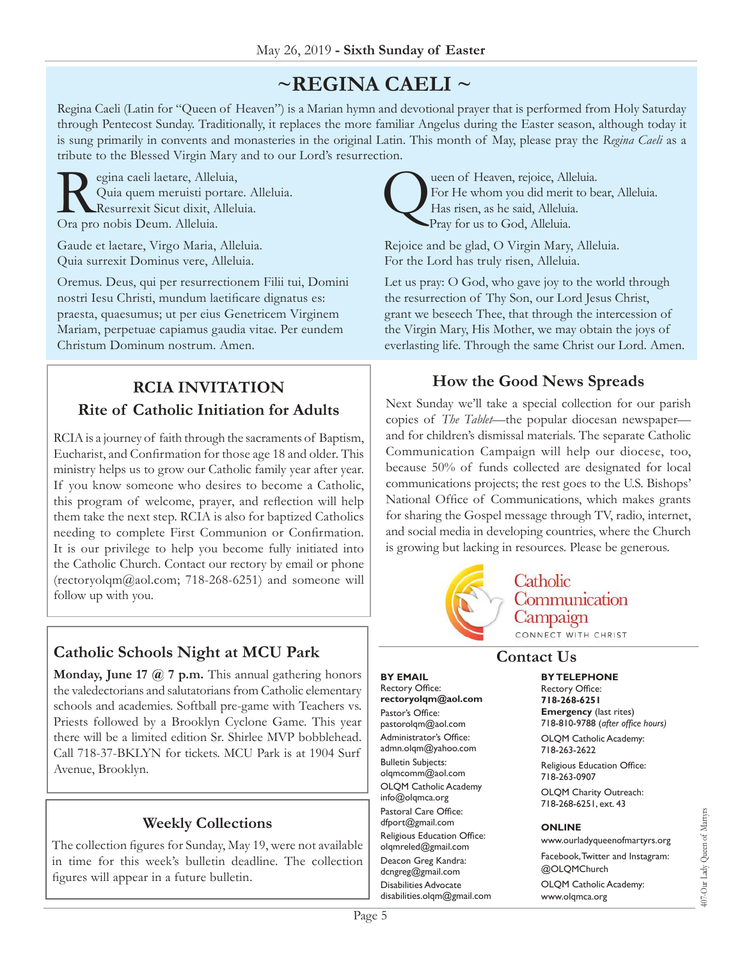# **~Regina Caeli ~**

Regina Caeli (Latin for "Queen of Heaven") is a Marian hymn and devotional prayer that is performed from Holy Saturday through Pentecost Sunday. Traditionally, it replaces the more familiar Angelus during the Easter season, although today it is sung primarily in convents and monasteries in the original Latin. This month of May, please pray the *Regina Caeli* as a tribute to the Blessed Virgin Mary and to our Lord's resurrection.

 $\sum_{\substack{\text{Quia quem meruisti portare} \\ \text{Resurrexit Sicut dixit, Alleluia}}}$ Quia quem meruisti portare. Alleluia. Resurrexit Sicut dixit, Alleluia. Ora pro nobis Deum. Alleluia.

Gaude et laetare, Virgo Maria, Alleluia. Quia surrexit Dominus vere, Alleluia.

Oremus. Deus, qui per resurrectionem Filii tui, Domini nostri Iesu Christi, mundum laetificare dignatus es: praesta, quaesumus; ut per eius Genetricem Virginem Mariam, perpetuae capiamus gaudia vitae. Per eundem Christum Dominum nostrum. Amen.

# **RCIA Invitation Rite of Catholic Initiation for Adults**

RCIA is a journey of faith through the sacraments of Baptism, Eucharist, and Confirmation for those age 18 and older. This ministry helps us to grow our Catholic family year after year. If you know someone who desires to become a Catholic, this program of welcome, prayer, and reflection will help them take the next step. RCIA is also for baptized Catholics needing to complete First Communion or Confirmation. It is our privilege to help you become fully initiated into the Catholic Church. Contact our rectory by email or phone [\(rectoryolqm@aol.com](mailto:rectoryolqm@aol.com); 718-268-6251) and someone will follow up with you.

## **Catholic Schools Night at MCU Park**

**Monday, June 17 @ 7 p.m.** This annual gathering honors the valedectorians and salutatorians from Catholic elementary schools and academies. Softball pre-game with Teachers vs. Priests followed by a Brooklyn Cyclone Game. This year there will be a limited edition Sr. Shirlee MVP bobblehead. Call 718-37-BKLYN for tickets. MCU Park is at 1904 Surf Avenue, Brooklyn.

## **Weekly Collections**

The collection figures for Sunday, May 19, were not available in time for this week's bulletin deadline. The collection figures will appear in a future bulletin.

Leen of Heaven, rejoice, Alleluia.<br>For He whom you did merit to be<br>Has risen, as he said, Alleluia.<br>Pray for us to God Alleluia. For He whom you did merit to bear, Alleluia. Has risen, as he said, Alleluia. Pray for us to God, Alleluia.

Rejoice and be glad, O Virgin Mary, Alleluia. For the Lord has truly risen, Alleluia.

Let us pray: O God, who gave joy to the world through the resurrection of Thy Son, our Lord Jesus Christ, grant we beseech Thee, that through the intercession of the Virgin Mary, His Mother, we may obtain the joys of everlasting life. Through the same Christ our Lord. Amen.

## **How the Good News Spreads**

Next Sunday we'll take a special collection for our parish copies of *The Tablet*—the popular diocesan newspaper and for children's dismissal materials. The separate Catholic Communication Campaign will help our diocese, too, because 50% of funds collected are designated for local communications projects; the rest goes to the U.S. Bishops' National Office of Communications, which makes grants for sharing the Gospel message through TV, radio, internet, and social media in developing countries, where the Church is growing but lacking in resources. Please be generous.



## **Contact Us**

**By Email** Rectory Office: **rectoryolqm@aol.com** Pastor's Office: pastorolqm@aol.com Administrator's Office: admn.olqm@yahoo.com Bulletin Subjects: olqmcomm@aol.com OLQM Catholic Academy info@olqmca.org Pastoral Care Office: dfport@gmail.com Religious Education Office: olqmreled@gmail.com Deacon Greg Kandra: dcngreg@gmail.com Disabilities Advocate [disabilities.olqm@gmail.com](mailto:disabilities.olqm@gmail.com) **By Telephone**

Rectory Office: **718-268-6251 Emergency** (last rites) 718-810-9788 (*after office hours)* OLQM Catholic Academy:

718-263-2622

Religious Education Office: 718-263-0907

OLQM Charity Outreach: 718-268-6251, ext. 43

#### **Online**

www.ourladyqueenofmartyrs.org Facebook, Twitter and Instagram: @OLQMChurch OLQM Catholic Academy: www.olqmca.org